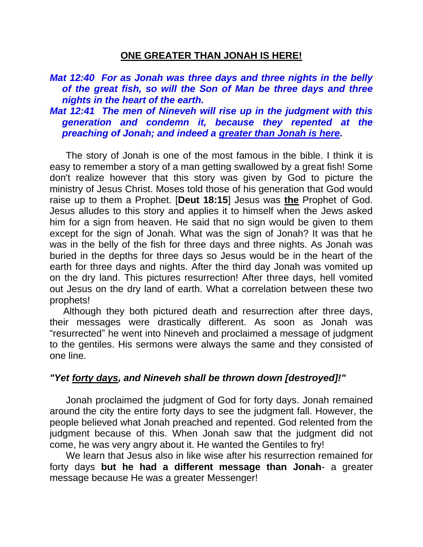#### **ONE GREATER THAN JONAH IS HERE!**

### *Mat 12:40 For as Jonah was three days and three nights in the belly of the great fish, so will the Son of Man be three days and three nights in the heart of the earth.*

*Mat 12:41 The men of Nineveh will rise up in the judgment with this generation and condemn it, because they repented at the preaching of Jonah; and indeed a greater than Jonah is here.* 

 The story of Jonah is one of the most famous in the bible. I think it is easy to remember a story of a man getting swallowed by a great fish! Some don't realize however that this story was given by God to picture the ministry of Jesus Christ. Moses told those of his generation that God would raise up to them a Prophet. [**Deut 18:15**] Jesus was **the** Prophet of God. Jesus alludes to this story and applies it to himself when the Jews asked him for a sign from heaven. He said that no sign would be given to them except for the sign of Jonah. What was the sign of Jonah? It was that he was in the belly of the fish for three days and three nights. As Jonah was buried in the depths for three days so Jesus would be in the heart of the earth for three days and nights. After the third day Jonah was vomited up on the dry land. This pictures resurrection! After three days, hell vomited out Jesus on the dry land of earth. What a correlation between these two prophets!

 Although they both pictured death and resurrection after three days, their messages were drastically different. As soon as Jonah was "resurrected" he went into Nineveh and proclaimed a message of judgment to the gentiles. His sermons were always the same and they consisted of one line.

## *"Yet forty days, and Nineveh shall be thrown down [destroyed]!"*

 Jonah proclaimed the judgment of God for forty days. Jonah remained around the city the entire forty days to see the judgment fall. However, the people believed what Jonah preached and repented. God relented from the judgment because of this. When Jonah saw that the judgment did not come, he was very angry about it. He wanted the Gentiles to fry!

 We learn that Jesus also in like wise after his resurrection remained for forty days **but he had a different message than Jonah**- a greater message because He was a greater Messenger!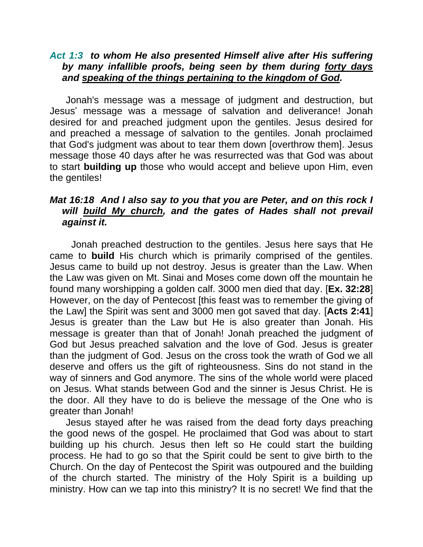### *Act 1:3 to whom He also presented Himself alive after His suffering by many infallible proofs, being seen by them during forty days and speaking of the things pertaining to the kingdom of God.*

 Jonah's message was a message of judgment and destruction, but Jesus' message was a message of salvation and deliverance! Jonah desired for and preached judgment upon the gentiles. Jesus desired for and preached a message of salvation to the gentiles. Jonah proclaimed that God's judgment was about to tear them down [overthrow them]. Jesus message those 40 days after he was resurrected was that God was about to start **building up** those who would accept and believe upon Him, even the gentiles!

## *Mat 16:18 And I also say to you that you are Peter, and on this rock I*  will build My church, and the gates of Hades shall not prevail *against it.*

 Jonah preached destruction to the gentiles. Jesus here says that He came to **build** His church which is primarily comprised of the gentiles. Jesus came to build up not destroy. Jesus is greater than the Law. When the Law was given on Mt. Sinai and Moses come down off the mountain he found many worshipping a golden calf. 3000 men died that day. [**Ex. 32:28**] However, on the day of Pentecost [this feast was to remember the giving of the Law] the Spirit was sent and 3000 men got saved that day. [**Acts 2:41**] Jesus is greater than the Law but He is also greater than Jonah. His message is greater than that of Jonah! Jonah preached the judgment of God but Jesus preached salvation and the love of God. Jesus is greater than the judgment of God. Jesus on the cross took the wrath of God we all deserve and offers us the gift of righteousness. Sins do not stand in the way of sinners and God anymore. The sins of the whole world were placed on Jesus. What stands between God and the sinner is Jesus Christ. He is the door. All they have to do is believe the message of the One who is greater than Jonah!

 Jesus stayed after he was raised from the dead forty days preaching the good news of the gospel. He proclaimed that God was about to start building up his church. Jesus then left so He could start the building process. He had to go so that the Spirit could be sent to give birth to the Church. On the day of Pentecost the Spirit was outpoured and the building of the church started. The ministry of the Holy Spirit is a building up ministry. How can we tap into this ministry? It is no secret! We find that the